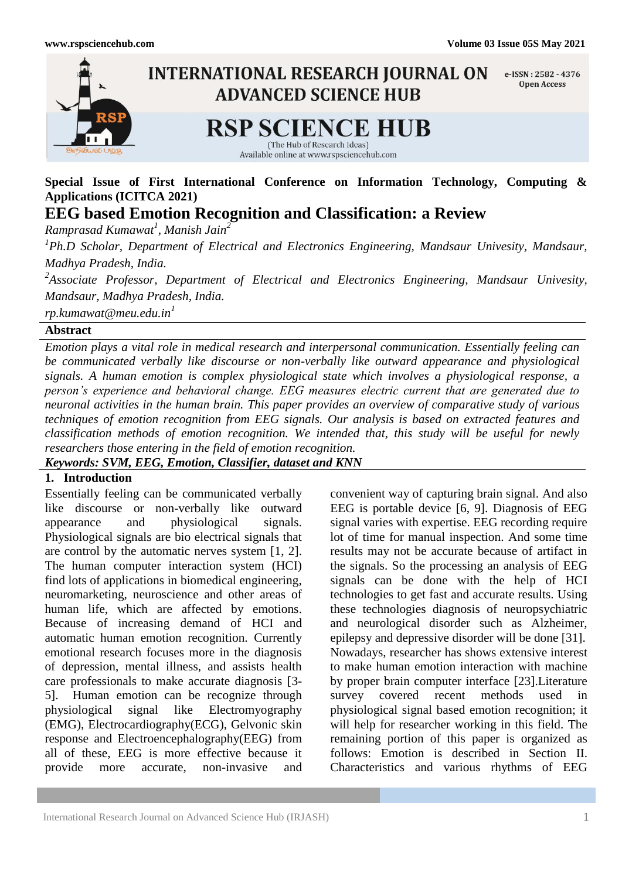

# **Special Issue of First International Conference on Information Technology, Computing & Applications (ICITCA 2021)**

**EEG based Emotion Recognition and Classification: a Review**

*Ramprasad Kumawat<sup>1</sup> , Manish Jain<sup>2</sup>*

*1 Ph.D Scholar, Department of Electrical and Electronics Engineering, Mandsaur Univesity, Mandsaur, Madhya Pradesh, India.*

*2 Associate Professor, Department of Electrical and Electronics Engineering, Mandsaur Univesity, Mandsaur, Madhya Pradesh, India.*

*rp.kumawat@meu.edu.in<sup>1</sup>*

# **Abstract**

*Emotion plays a vital role in medical research and interpersonal communication. Essentially feeling can be communicated verbally like discourse or non-verbally like outward appearance and physiological signals. A human emotion is complex physiological state which involves a physiological response, a person's experience and behavioral change. EEG measures electric current that are generated due to neuronal activities in the human brain. This paper provides an overview of comparative study of various techniques of emotion recognition from EEG signals. Our analysis is based on extracted features and classification methods of emotion recognition. We intended that, this study will be useful for newly researchers those entering in the field of emotion recognition.*

*Keywords: SVM, EEG, Emotion, Classifier, dataset and KNN*

# **1. Introduction**

Essentially feeling can be communicated verbally like discourse or non-verbally like outward appearance and physiological signals. Physiological signals are bio electrical signals that are control by the automatic nerves system [1, 2]. The human computer interaction system (HCI) find lots of applications in biomedical engineering, neuromarketing, neuroscience and other areas of human life, which are affected by emotions. Because of increasing demand of HCI and automatic human emotion recognition. Currently emotional research focuses more in the diagnosis of depression, mental illness, and assists health care professionals to make accurate diagnosis [3- 5]. Human emotion can be recognize through physiological signal like Electromyography (EMG), Electrocardiography(ECG), Gelvonic skin response and Electroencephalography(EEG) from all of these, EEG is more effective because it provide more accurate, non-invasive and

convenient way of capturing brain signal. And also EEG is portable device [6, 9]. Diagnosis of EEG signal varies with expertise. EEG recording require lot of time for manual inspection. And some time results may not be accurate because of artifact in the signals. So the processing an analysis of EEG signals can be done with the help of HCI technologies to get fast and accurate results. Using these technologies diagnosis of neuropsychiatric and neurological disorder such as Alzheimer, epilepsy and depressive disorder will be done [31]. Nowadays, researcher has shows extensive interest to make human emotion interaction with machine by proper brain computer interface [23].Literature survey covered recent methods used in physiological signal based emotion recognition; it will help for researcher working in this field. The remaining portion of this paper is organized as follows: Emotion is described in Section II. Characteristics and various rhythms of EEG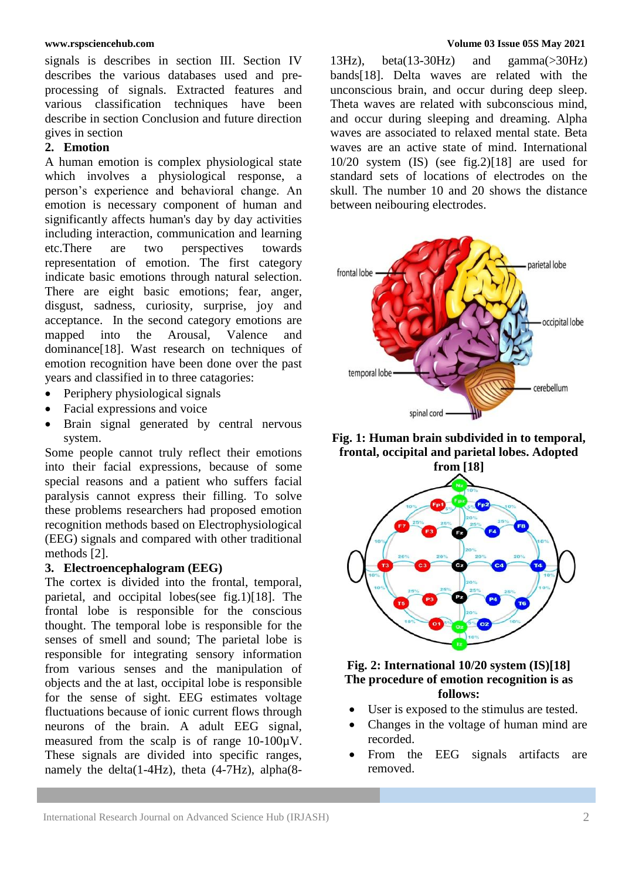signals is describes in section III. Section IV describes the various databases used and preprocessing of signals. Extracted features and various classification techniques have been describe in section Conclusion and future direction gives in section

## **2. Emotion**

A human emotion is complex physiological state which involves a physiological response, a person's experience and behavioral change. An emotion is necessary component of human and significantly affects human's day by day activities including interaction, communication and learning etc.There are two perspectives towards representation of emotion. The first category indicate basic emotions through natural selection. There are eight basic emotions; fear, anger, disgust, sadness, curiosity, surprise, joy and acceptance. In the second category emotions are mapped into the Arousal, Valence and dominance[18]. Wast research on techniques of emotion recognition have been done over the past years and classified in to three catagories:

- Periphery physiological signals
- Facial expressions and voice
- Brain signal generated by central nervous system.

Some people cannot truly reflect their emotions into their facial expressions, because of some special reasons and a patient who suffers facial paralysis cannot express their filling. To solve these problems researchers had proposed emotion recognition methods based on Electrophysiological (EEG) signals and compared with other traditional methods [2].

## **3. Electroencephalogram (EEG)**

The cortex is divided into the frontal, temporal, parietal, and occipital lobes(see fig.1)[18]. The frontal lobe is responsible for the conscious thought. The temporal lobe is responsible for the senses of smell and sound; The parietal lobe is responsible for integrating sensory information from various senses and the manipulation of objects and the at last, occipital lobe is responsible for the sense of sight. EEG estimates voltage fluctuations because of ionic current flows through neurons of the brain. A adult EEG signal, measured from the scalp is of range 10-100µV. These signals are divided into specific ranges, namely the delta(1-4Hz), theta (4-7Hz), alpha(8-

#### **www.rspsciencehub.com Volume 03 Issue 05S May 2021**

13Hz), beta(13-30Hz) and gamma(>30Hz) bands[18]. Delta waves are related with the unconscious brain, and occur during deep sleep. Theta waves are related with subconscious mind, and occur during sleeping and dreaming. Alpha waves are associated to relaxed mental state. Beta waves are an active state of mind. International 10/20 system (IS) (see fig.2)[18] are used for standard sets of locations of electrodes on the skull. The number 10 and 20 shows the distance between neibouring electrodes.



**Fig. 1: Human brain subdivided in to temporal, frontal, occipital and parietal lobes. Adopted** 



## **Fig. 2: International 10/20 system (IS)[18] The procedure of emotion recognition is as follows:**

- User is exposed to the stimulus are tested.
- Changes in the voltage of human mind are recorded.
- From the EEG signals artifacts are removed.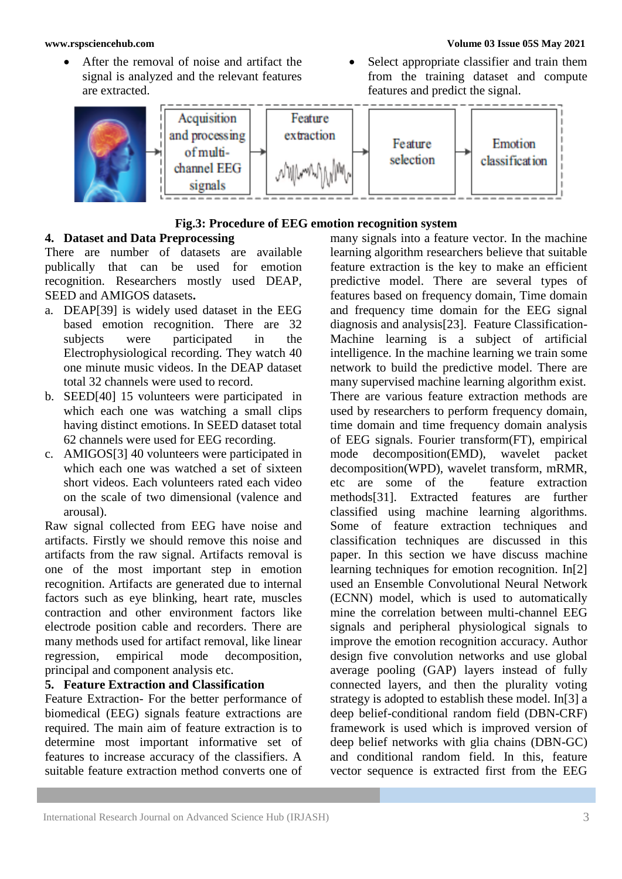- After the removal of noise and artifact the signal is analyzed and the relevant features are extracted.
- Select appropriate classifier and train them from the training dataset and compute features and predict the signal.



## **Fig.3: Procedure of EEG emotion recognition system**

## **4. Dataset and Data Preprocessing**

There are number of datasets are available publically that can be used for emotion recognition. Researchers mostly used DEAP, SEED and AMIGOS datasets**.**

- a. DEAP[39] is widely used dataset in the EEG based emotion recognition. There are 32 subjects were participated in the Electrophysiological recording. They watch 40 one minute music videos. In the DEAP dataset total 32 channels were used to record.
- b. SEED[40] 15 volunteers were participated in which each one was watching a small clips having distinct emotions. In SEED dataset total 62 channels were used for EEG recording.
- c. AMIGOS[3] 40 volunteers were participated in which each one was watched a set of sixteen short videos. Each volunteers rated each video on the scale of two dimensional (valence and arousal).

Raw signal collected from EEG have noise and artifacts. Firstly we should remove this noise and artifacts from the raw signal. Artifacts removal is one of the most important step in emotion recognition. Artifacts are generated due to internal factors such as eye blinking, heart rate, muscles contraction and other environment factors like electrode position cable and recorders. There are many methods used for artifact removal, like linear regression, empirical mode decomposition, principal and component analysis etc.

## **5. Feature Extraction and Classification**

Feature Extraction- For the better performance of biomedical (EEG) signals feature extractions are required. The main aim of feature extraction is to determine most important informative set of features to increase accuracy of the classifiers. A suitable feature extraction method converts one of

many signals into a feature vector. In the machine learning algorithm researchers believe that suitable feature extraction is the key to make an efficient predictive model. There are several types of features based on frequency domain, Time domain and frequency time domain for the EEG signal diagnosis and analysis[23]. Feature Classification-Machine learning is a subject of artificial intelligence. In the machine learning we train some network to build the predictive model. There are many supervised machine learning algorithm exist. There are various feature extraction methods are used by researchers to perform frequency domain, time domain and time frequency domain analysis of EEG signals. Fourier transform(FT), empirical mode decomposition(EMD), wavelet packet decomposition(WPD), wavelet transform, mRMR, etc are some of the feature extraction methods[31]. Extracted features are further classified using machine learning algorithms. Some of feature extraction techniques and classification techniques are discussed in this paper. In this section we have discuss machine learning techniques for emotion recognition. In[2] used an Ensemble Convolutional Neural Network (ECNN) model, which is used to automatically mine the correlation between multi-channel EEG signals and peripheral physiological signals to improve the emotion recognition accuracy. Author design five convolution networks and use global average pooling (GAP) layers instead of fully connected layers, and then the plurality voting strategy is adopted to establish these model. In[3] a deep belief-conditional random field (DBN-CRF) framework is used which is improved version of deep belief networks with glia chains (DBN-GC) and conditional random field. In this, feature vector sequence is extracted first from the EEG

## **www.rspsciencehub.com Volume 03 Issue 05S May 2021**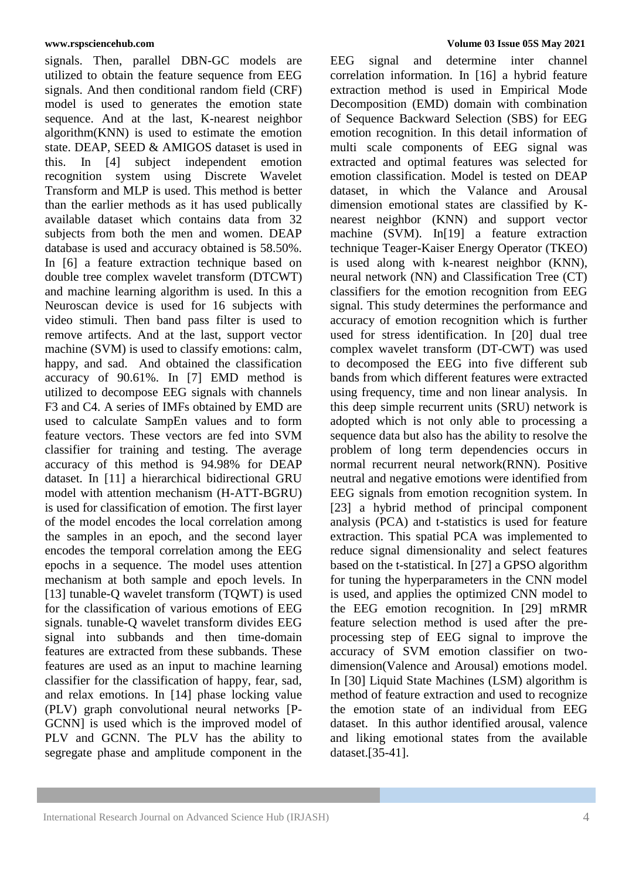signals. Then, parallel DBN-GC models are utilized to obtain the feature sequence from EEG signals. And then conditional random field (CRF) model is used to generates the emotion state sequence. And at the last, K-nearest neighbor algorithm(KNN) is used to estimate the emotion state. DEAP, SEED & AMIGOS dataset is used in this. In [4] subject independent emotion recognition system using Discrete Wavelet Transform and MLP is used. This method is better than the earlier methods as it has used publically available dataset which contains data from 32 subjects from both the men and women. DEAP database is used and accuracy obtained is 58.50%. In [6] a feature extraction technique based on double tree complex wavelet transform (DTCWT) and machine learning algorithm is used. In this a Neuroscan device is used for 16 subjects with video stimuli. Then band pass filter is used to remove artifects. And at the last, support vector machine (SVM) is used to classify emotions: calm, happy, and sad. And obtained the classification accuracy of 90.61%. In [7] EMD method is utilized to decompose EEG signals with channels F3 and C4. A series of IMFs obtained by EMD are used to calculate SampEn values and to form feature vectors. These vectors are fed into SVM classifier for training and testing. The average accuracy of this method is 94.98% for DEAP dataset. In [11] a hierarchical bidirectional GRU model with attention mechanism (H-ATT-BGRU) is used for classification of emotion. The first layer of the model encodes the local correlation among the samples in an epoch, and the second layer encodes the temporal correlation among the EEG epochs in a sequence. The model uses attention mechanism at both sample and epoch levels. In [13] tunable-Q wavelet transform (TQWT) is used for the classification of various emotions of EEG signals. tunable-Q wavelet transform divides EEG signal into subbands and then time-domain features are extracted from these subbands. These features are used as an input to machine learning classifier for the classification of happy, fear, sad, and relax emotions. In [14] phase locking value (PLV) graph convolutional neural networks [P-GCNN] is used which is the improved model of PLV and GCNN. The PLV has the ability to segregate phase and amplitude component in the

#### **www.rspsciencehub.com Volume 03 Issue 05S May 2021**

EEG signal and determine inter channel correlation information. In [16] a hybrid feature extraction method is used in Empirical Mode Decomposition (EMD) domain with combination of Sequence Backward Selection (SBS) for EEG emotion recognition. In this detail information of multi scale components of EEG signal was extracted and optimal features was selected for emotion classification. Model is tested on DEAP dataset, in which the Valance and Arousal dimension emotional states are classified by Knearest neighbor (KNN) and support vector machine (SVM). In[19] a feature extraction technique Teager-Kaiser Energy Operator (TKEO) is used along with k-nearest neighbor (KNN), neural network (NN) and Classification Tree (CT) classifiers for the emotion recognition from EEG signal. This study determines the performance and accuracy of emotion recognition which is further used for stress identification. In [20] dual tree complex wavelet transform (DT-CWT) was used to decomposed the EEG into five different sub bands from which different features were extracted using frequency, time and non linear analysis. In this deep simple recurrent units (SRU) network is adopted which is not only able to processing a sequence data but also has the ability to resolve the problem of long term dependencies occurs in normal recurrent neural network(RNN). Positive neutral and negative emotions were identified from EEG signals from emotion recognition system. In [23] a hybrid method of principal component analysis (PCA) and t-statistics is used for feature extraction. This spatial PCA was implemented to reduce signal dimensionality and select features based on the t-statistical. In [27] a GPSO algorithm for tuning the hyperparameters in the CNN model is used, and applies the optimized CNN model to the EEG emotion recognition. In [29] mRMR feature selection method is used after the preprocessing step of EEG signal to improve the accuracy of SVM emotion classifier on twodimension(Valence and Arousal) emotions model. In [30] Liquid State Machines (LSM) algorithm is method of feature extraction and used to recognize the emotion state of an individual from EEG dataset. In this author identified arousal, valence and liking emotional states from the available dataset.[35-41].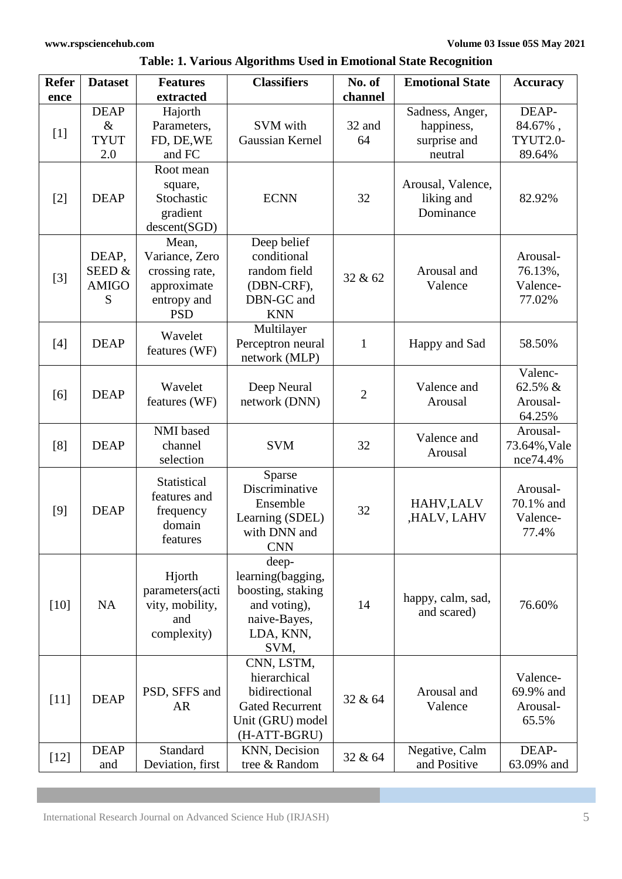| <b>Refer</b><br>ence | <b>Dataset</b>                            | <b>Features</b><br>extracted                                                          | <b>Classifiers</b>                                                                                        | No. of<br>channel | <b>Emotional State</b>                                   | <b>Accuracy</b>                            |
|----------------------|-------------------------------------------|---------------------------------------------------------------------------------------|-----------------------------------------------------------------------------------------------------------|-------------------|----------------------------------------------------------|--------------------------------------------|
| $[1]$                | <b>DEAP</b><br>$\&$<br><b>TYUT</b><br>2.0 | Hajorth<br>Parameters,<br>FD, DE, WE<br>and FC                                        | SVM with<br>Gaussian Kernel                                                                               | 32 and<br>64      | Sadness, Anger,<br>happiness,<br>surprise and<br>neutral | DEAP-<br>84.67%,<br>TYUT2.0-<br>89.64%     |
| $[2]$                | <b>DEAP</b>                               | Root mean<br>square,<br>Stochastic<br>gradient<br>descent(SGD)                        | <b>ECNN</b>                                                                                               | 32                | Arousal, Valence,<br>liking and<br>Dominance             | 82.92%                                     |
| $[3]$                | DEAP,<br>SEED&<br><b>AMIGO</b><br>S       | Mean,<br>Variance, Zero<br>crossing rate,<br>approximate<br>entropy and<br><b>PSD</b> | Deep belief<br>conditional<br>random field<br>(DBN-CRF),<br>DBN-GC and<br><b>KNN</b>                      | 32 & 62           | Arousal and<br>Valence                                   | Arousal-<br>76.13%,<br>Valence-<br>77.02%  |
| [4]                  | <b>DEAP</b>                               | Wavelet<br>features (WF)                                                              | Multilayer<br>Perceptron neural<br>network (MLP)                                                          | $\mathbf{1}$      | Happy and Sad                                            | 58.50%                                     |
| [6]                  | <b>DEAP</b>                               | Wavelet<br>features (WF)                                                              | Deep Neural<br>network (DNN)                                                                              | $\overline{2}$    | Valence and<br>Arousal                                   | Valenc-<br>62.5% &<br>Arousal-<br>64.25%   |
| [8]                  | <b>DEAP</b>                               | NMI based<br>channel<br>selection                                                     | <b>SVM</b>                                                                                                | 32                | Valence and<br>Arousal                                   | Arousal-<br>73.64%, Vale<br>nce74.4%       |
| [9]                  | <b>DEAP</b>                               | Statistical<br>features and<br>frequency<br>domain<br>features                        | Sparse<br>Discriminative<br>Ensemble<br>Learning (SDEL)<br>with DNN and<br><b>CNN</b>                     | 32                | HAHV, LALV<br>,HALV, LAHV                                | Arousal-<br>70.1% and<br>Valence-<br>77.4% |
| $[10]$               | <b>NA</b>                                 | Hjorth<br>parameters(acti<br>vity, mobility,<br>and<br>complexity)                    | deep-<br>learning(bagging,<br>boosting, staking<br>and voting),<br>naive-Bayes,<br>LDA, KNN,<br>SVM,      | 14                | happy, calm, sad,<br>and scared)                         | 76.60%                                     |
| $[11]$               | <b>DEAP</b>                               | PSD, SFFS and<br><b>AR</b>                                                            | CNN, LSTM,<br>hierarchical<br>bidirectional<br><b>Gated Recurrent</b><br>Unit (GRU) model<br>(H-ATT-BGRU) | 32 & 64           | Arousal and<br>Valence                                   | Valence-<br>69.9% and<br>Arousal-<br>65.5% |
| $[12]$               | <b>DEAP</b><br>and                        | Standard<br>Deviation, first                                                          | KNN, Decision<br>tree & Random                                                                            | 32 & 64           | Negative, Calm<br>and Positive                           | DEAP-<br>63.09% and                        |

**Table: 1. Various Algorithms Used in Emotional State Recognition**

International Research Journal on Advanced Science Hub (IRJASH) 5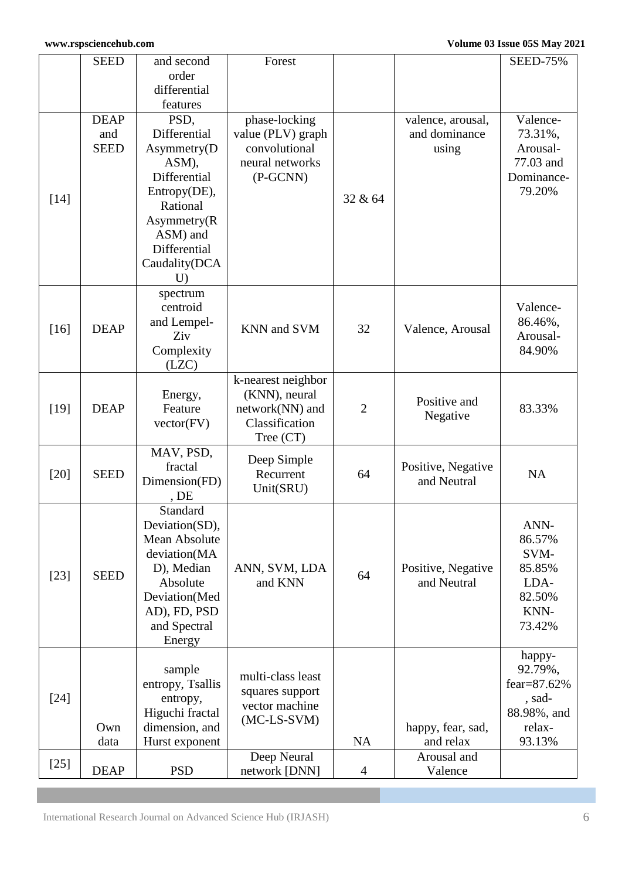|        | <b>SEED</b> | and second               | Forest                        |                |                    | <b>SEED-75%</b>      |
|--------|-------------|--------------------------|-------------------------------|----------------|--------------------|----------------------|
|        |             | order                    |                               |                |                    |                      |
|        |             | differential             |                               |                |                    |                      |
|        |             | features                 |                               |                |                    |                      |
|        | <b>DEAP</b> | PSD,                     | phase-locking                 |                | valence, arousal,  | Valence-             |
|        | and         | Differential             | value (PLV) graph             |                | and dominance      | 73.31%,              |
|        | <b>SEED</b> | Asymmetry(D              | convolutional                 |                | using              | Arousal-             |
|        |             | ASM),                    | neural networks               |                |                    | 77.03 and            |
|        |             | Differential             | $(P-GCNN)$                    |                |                    | Dominance-<br>79.20% |
| $[14]$ |             | Entropy(DE),<br>Rational |                               | 32 & 64        |                    |                      |
|        |             | Asymmetry(R)             |                               |                |                    |                      |
|        |             | ASM) and                 |                               |                |                    |                      |
|        |             | Differential             |                               |                |                    |                      |
|        |             | Caudality(DCA            |                               |                |                    |                      |
|        |             | U                        |                               |                |                    |                      |
|        |             | spectrum                 |                               |                |                    |                      |
|        |             | centroid                 |                               |                |                    | Valence-             |
| [16]   | <b>DEAP</b> | and Lempel-              | KNN and SVM                   | 32             | Valence, Arousal   | 86.46%,              |
|        |             | Ziv                      |                               |                |                    | Arousal-             |
|        |             | Complexity               |                               |                |                    | 84.90%               |
|        |             | (LZC)                    |                               |                |                    |                      |
|        |             |                          | k-nearest neighbor            |                |                    |                      |
|        |             | Energy,                  | (KNN), neural                 |                | Positive and       |                      |
| $[19]$ | <b>DEAP</b> | Feature                  | network(NN) and               | $\overline{2}$ | Negative           | 83.33%               |
|        |             | vector(FV)               | Classification<br>Tree $(CT)$ |                |                    |                      |
|        |             | MAV, PSD,                |                               |                |                    |                      |
|        |             | fractal                  | Deep Simple                   |                | Positive, Negative |                      |
| $[20]$ | <b>SEED</b> | Dimension(FD)            | Recurrent                     | 64             | and Neutral        | <b>NA</b>            |
|        |             | , DE                     | Unit(SRU)                     |                |                    |                      |
|        |             | Standard                 |                               |                |                    |                      |
|        |             | Deviation(SD),           |                               |                |                    | ANN-                 |
|        |             | Mean Absolute            |                               |                |                    | 86.57%               |
|        |             | deviation(MA             |                               |                |                    | SVM-                 |
| $[23]$ | <b>SEED</b> | D), Median               | ANN, SVM, LDA                 | 64             | Positive, Negative | 85.85%               |
|        |             | Absolute                 | and KNN                       |                | and Neutral        | LDA-                 |
|        |             | Deviation(Med            |                               |                |                    | 82.50%               |
|        |             | AD), FD, PSD             |                               |                |                    | KNN-                 |
|        |             | and Spectral             |                               |                |                    | 73.42%               |
|        |             | Energy                   |                               |                |                    |                      |
|        |             | sample                   |                               |                |                    | happy-<br>92.79%,    |
| $[24]$ |             | entropy, Tsallis         | multi-class least             |                |                    | fear=87.62%          |
|        |             | entropy,                 | squares support               |                |                    | , sad-               |
|        |             | Higuchi fractal          | vector machine                |                |                    | 88.98%, and          |
|        | Own         | dimension, and           | $(MC-LS-SVM)$                 |                | happy, fear, sad,  | relax-               |
|        | data        | Hurst exponent           |                               | <b>NA</b>      | and relax          | 93.13%               |
|        |             |                          | Deep Neural                   |                | Arousal and        |                      |
| $[25]$ | <b>DEAP</b> | <b>PSD</b>               | network [DNN]                 | $\overline{4}$ | Valence            |                      |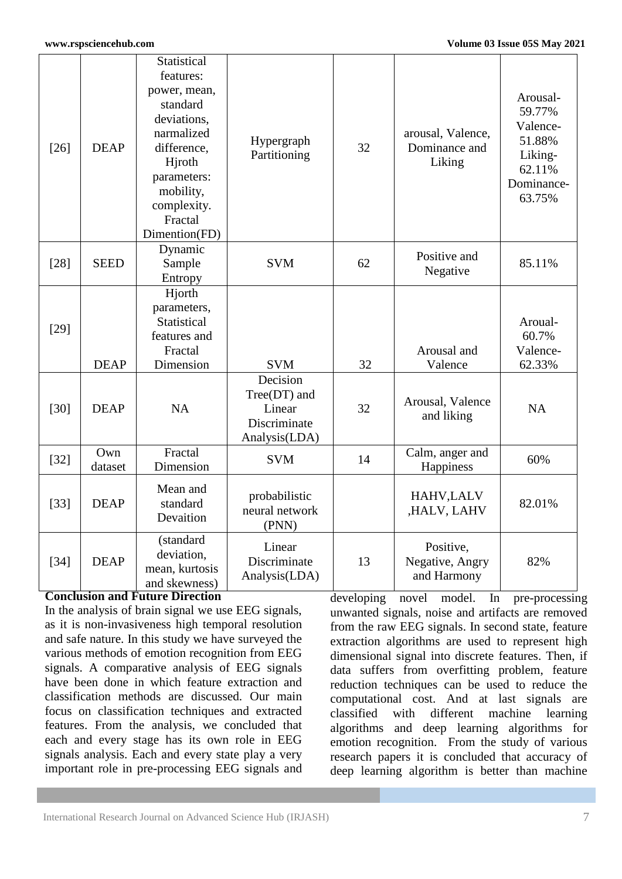| $[26]$ | <b>DEAP</b>    | <b>Statistical</b><br>features:<br>power, mean,<br>standard<br>deviations,<br>narmalized<br>difference,<br>Hiroth<br>parameters:<br>mobility,<br>complexity.<br>Fractal<br>Dimention(FD) | Hypergraph<br>Partitioning                                            | 32 | arousal, Valence,<br>Dominance and<br>Liking | Arousal-<br>59.77%<br>Valence-<br>51.88%<br>Liking-<br>62.11%<br>Dominance-<br>63.75% |
|--------|----------------|------------------------------------------------------------------------------------------------------------------------------------------------------------------------------------------|-----------------------------------------------------------------------|----|----------------------------------------------|---------------------------------------------------------------------------------------|
| $[28]$ | <b>SEED</b>    | Dynamic<br>Sample<br>Entropy                                                                                                                                                             | <b>SVM</b>                                                            | 62 | Positive and<br>Negative                     | 85.11%                                                                                |
| $[29]$ | <b>DEAP</b>    | Hjorth<br>parameters,<br><b>Statistical</b><br>features and<br>Fractal<br>Dimension                                                                                                      | <b>SVM</b>                                                            | 32 | Arousal and<br>Valence                       | Aroual-<br>60.7%<br>Valence-<br>62.33%                                                |
| $[30]$ | <b>DEAP</b>    | <b>NA</b>                                                                                                                                                                                | Decision<br>$Tree(DT)$ and<br>Linear<br>Discriminate<br>Analysis(LDA) | 32 | Arousal, Valence<br>and liking               | <b>NA</b>                                                                             |
| $[32]$ | Own<br>dataset | Fractal<br>Dimension                                                                                                                                                                     | <b>SVM</b>                                                            | 14 | Calm, anger and<br>Happiness                 | 60%                                                                                   |
| $[33]$ | <b>DEAP</b>    | Mean and<br>standard<br>Devaition                                                                                                                                                        | probabilistic<br>neural network<br>(PNN)                              |    | HAHV, LALV<br>,HALV, LAHV                    | 82.01%                                                                                |
| $[34]$ | <b>DEAP</b>    | (standard<br>deviation,<br>mean, kurtosis<br>and skewness)                                                                                                                               | Linear<br>Discriminate<br>Analysis(LDA)                               | 13 | Positive,<br>Negative, Angry<br>and Harmony  | 82%                                                                                   |

## **Conclusion and Future Direction**

In the analysis of brain signal we use EEG signals, as it is non-invasiveness high temporal resolution and safe nature. In this study we have surveyed the various methods of emotion recognition from EEG signals. A comparative analysis of EEG signals have been done in which feature extraction and classification methods are discussed. Our main focus on classification techniques and extracted features. From the analysis, we concluded that each and every stage has its own role in EEG signals analysis. Each and every state play a very important role in pre-processing EEG signals and developing novel model. In pre-processing unwanted signals, noise and artifacts are removed from the raw EEG signals. In second state, feature extraction algorithms are used to represent high dimensional signal into discrete features. Then, if data suffers from overfitting problem, feature reduction techniques can be used to reduce the computational cost. And at last signals are classified with different machine learning algorithms and deep learning algorithms for emotion recognition. From the study of various research papers it is concluded that accuracy of deep learning algorithm is better than machine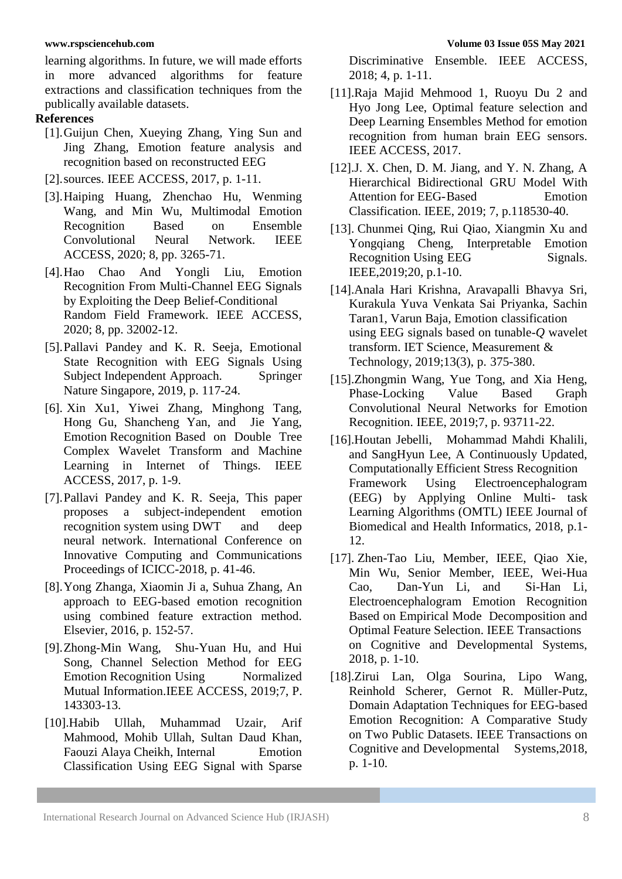learning algorithms. In future, we will made efforts in more advanced algorithms for feature extractions and classification techniques from the publically available datasets.

## **References**

- [1].Guijun Chen, Xueying Zhang, Ying Sun and Jing Zhang, Emotion feature analysis and recognition based on reconstructed EEG
- [2].sources. IEEE ACCESS, 2017, p. 1-11.
- [3].Haiping Huang, Zhenchao Hu, Wenming Wang, and Min Wu, Multimodal Emotion Recognition Based on Ensemble Convolutional Neural Network. IEEE ACCESS, 2020; 8, pp. 3265-71.
- [4].Hao Chao And Yongli Liu, Emotion Recognition From Multi-Channel EEG Signals by Exploiting the Deep Belief-Conditional Random Field Framework. IEEE ACCESS, 2020; 8, pp. 32002-12.
- [5].Pallavi Pandey and K. R. Seeja, Emotional State Recognition with EEG Signals Using Subject Independent Approach. Springer Nature Singapore, 2019, p. 117-24.
- [6]. Xin Xu1, Yiwei Zhang, Minghong Tang, Hong Gu, Shancheng Yan, and Jie Yang, Emotion Recognition Based on Double Tree Complex Wavelet Transform and Machine Learning in Internet of Things. IEEE ACCESS, 2017, p. 1-9.
- [7].Pallavi Pandey and K. R. Seeja, This paper proposes a subject-independent emotion recognition system using DWT and deep neural network. International Conference on Innovative Computing and Communications Proceedings of ICICC-2018, p. 41-46.
- [8].Yong Zhanga, Xiaomin Ji a, Suhua Zhang, An approach to EEG-based emotion recognition using combined feature extraction method. Elsevier, 2016, p. 152-57.
- [9].Zhong-Min Wang, Shu-Yuan Hu, and Hui Song, Channel Selection Method for EEG Emotion Recognition Using Normalized Mutual Information.IEEE ACCESS, 2019;7, P. 143303-13.
- [10].Habib Ullah, Muhammad Uzair, Arif Mahmood, Mohib Ullah, Sultan Daud Khan, Faouzi Alaya Cheikh, Internal Emotion Classification Using EEG Signal with Sparse

Discriminative Ensemble. IEEE ACCESS, 2018; 4, p. 1-11.

- [11].Raja Majid Mehmood 1, Ruoyu Du 2 and Hyo Jong Lee, Optimal feature selection and Deep Learning Ensembles Method for emotion recognition from human brain EEG sensors. IEEE ACCESS, 2017.
- [12].J. X. Chen, D. M. Jiang, and Y. N. Zhang, A Hierarchical Bidirectional GRU Model With Attention for EEG-Based Emotion Classification. IEEE, 2019; 7, p.118530-40.
- [13]. Chunmei Qing, Rui Qiao, Xiangmin Xu and Yongqiang Cheng, Interpretable Emotion Recognition Using EEG Signals. IEEE,2019;20, p.1-10.
- [14].Anala Hari Krishna, Aravapalli Bhavya Sri, Kurakula Yuva Venkata Sai Priyanka, Sachin Taran1, Varun Baja*,* Emotion classification using EEG signals based on tunable-*Q* wavelet transform. IET Science, Measurement & Technology, 2019;13(3), p. 375-380.
- [15].Zhongmin Wang, Yue Tong, and Xia Heng, Phase-Locking Value Based Graph Convolutional Neural Networks for Emotion Recognition. IEEE, 2019;7, p. 93711-22.
- [16].Houtan Jebelli, Mohammad Mahdi Khalili, and SangHyun Lee, A Continuously Updated, Computationally Efficient Stress Recognition Framework Using Electroencephalogram (EEG) by Applying Online Multi- task Learning Algorithms (OMTL) IEEE Journal of Biomedical and Health Informatics, 2018, p.1- 12.
- [17]. Zhen-Tao Liu, Member, IEEE, Qiao Xie, Min Wu, Senior Member, IEEE, Wei-Hua Cao, Dan-Yun Li, and Si-Han Li, Electroencephalogram Emotion Recognition Based on Empirical Mode Decomposition and Optimal Feature Selection. IEEE Transactions on Cognitive and Developmental Systems, 2018, p. 1-10.
- [18].Zirui Lan, Olga Sourina, Lipo Wang, Reinhold Scherer, Gernot R. Müller-Putz, Domain Adaptation Techniques for EEG-based Emotion Recognition: A Comparative Study on Two Public Datasets. IEEE Transactions on Cognitive and Developmental Systems,2018, p. 1-10.

International Research Journal on Advanced Science Hub (IRJASH) 8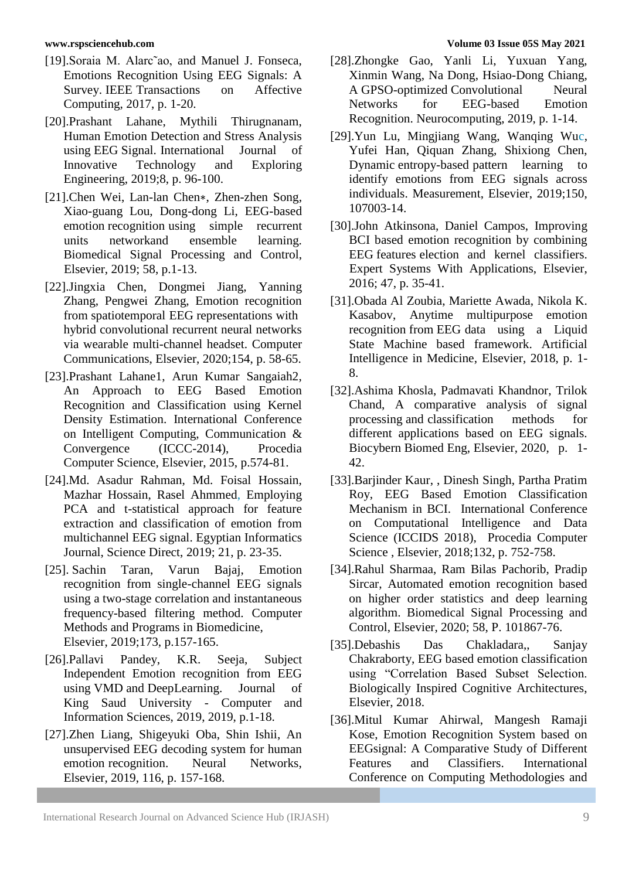- [19].Soraia M. Alarc<sup>\*</sup>ao, and Manuel J. Fonseca, Emotions Recognition Using EEG Signals: A Survey. IEEE Transactions on Affective Computing, 2017, p. 1-20.
- [20].Prashant Lahane, Mythili Thirugnanam, Human Emotion Detection and Stress Analysis using EEG Signal. International Journal of Innovative Technology and Exploring Engineering, 2019;8, p. 96-100.
- [21].Chen Wei, Lan-lan Chen∗, Zhen-zhen Song, Xiao-guang Lou, Dong-dong Li, EEG-based emotion recognition using simple recurrent units networkand ensemble learning. Biomedical Signal Processing and Control, Elsevier, 2019; 58, p.1-13.
- [22].Jingxia Chen, Dongmei Jiang, Yanning Zhang, Pengwei Zhang, Emotion recognition from spatiotemporal EEG representations with hybrid convolutional recurrent neural networks via wearable multi-channel headset. Computer Communications, Elsevier, 2020;154, p. 58-65.
- [23].Prashant Lahane1, Arun Kumar Sangaiah2, An Approach to EEG Based Emotion Recognition and Classification using Kernel Density Estimation. International Conference on Intelligent Computing, Communication & Convergence (ICCC-2014), Procedia Computer Science, Elsevier, 2015, p.574-81.
- [24].Md. Asadur Rahman, Md. Foisal Hossain, Mazhar Hossain, Rasel Ahmmed, Employing PCA and t-statistical approach for feature extraction and classification of emotion from multichannel EEG signal. Egyptian Informatics Journal, Science Direct, 2019; 21, p. 23-35.
- [25]. Sachin Taran, Varun Bajaj, Emotion recognition from single-channel EEG signals using a two-stage correlation and instantaneous frequency-based filtering method. Computer Methods and Programs in Biomedicine, Elsevier, 2019;173, p.157-165.
- [26].Pallavi Pandey, K.R. Seeja, Subject Independent Emotion recognition from EEG using VMD and DeepLearning. Journal of King Saud University - Computer and Information Sciences, 2019, 2019, p.1-18.
- [27].Zhen Liang, Shigeyuki Oba, Shin Ishii, An unsupervised EEG decoding system for human emotion recognition. Neural Networks, Elsevier, 2019, 116, p. 157-168.

#### **www.rspsciencehub.com Volume 03 Issue 05S May 2021**

- [28].Zhongke Gao, Yanli Li, Yuxuan Yang, Xinmin Wang, Na Dong, Hsiao-Dong Chiang, A GPSO-optimized Convolutional Neural Networks for EEG-based Emotion Recognition. Neurocomputing, 2019, p. 1-14.
- [29].Yun Lu, Mingjiang Wang, Wanqing Wuc, Yufei Han, Qiquan Zhang, Shixiong Chen, Dynamic entropy-based pattern learning to identify emotions from EEG signals across individuals. Measurement, Elsevier, 2019;150, 107003-14.
- [30].John Atkinsona, Daniel Campos, Improving BCI based emotion recognition by combining EEG features election and kernel classifiers. Expert Systems With Applications, Elsevier, 2016; 47, p. 35-41.
- [31].Obada Al Zoubia, Mariette Awada, Nikola K. Kasabov, Anytime multipurpose emotion recognition from EEG data using a Liquid State Machine based framework. Artificial Intelligence in Medicine, Elsevier, 2018, p. 1- 8.
- [32].Ashima Khosla, Padmavati Khandnor, Trilok Chand, A comparative analysis of signal processing and classification methods for different applications based on EEG signals. Biocybern Biomed Eng, Elsevier, 2020, p. 1- 42.
- [33].Barjinder Kaur, , Dinesh Singh, Partha Pratim Roy, EEG Based Emotion Classification Mechanism in BCI. International Conference on Computational Intelligence and Data Science (ICCIDS 2018), Procedia Computer Science , Elsevier, 2018;132, p. 752-758.
- [34].Rahul Sharmaa, Ram Bilas Pachorib, Pradip Sircar, Automated emotion recognition based on higher order statistics and deep learning algorithm. Biomedical Signal Processing and Control, Elsevier, 2020; 58, P. 101867-76.
- [35].Debashis Das Chakladara,, Sanjay Chakraborty, EEG based emotion classification using "Correlation Based Subset Selection. Biologically Inspired Cognitive Architectures, Elsevier, 2018.
- [36].Mitul Kumar Ahirwal, Mangesh Ramaji Kose, Emotion Recognition System based on EEGsignal: A Comparative Study of Different Features and Classifiers. International Conference on Computing Methodologies and